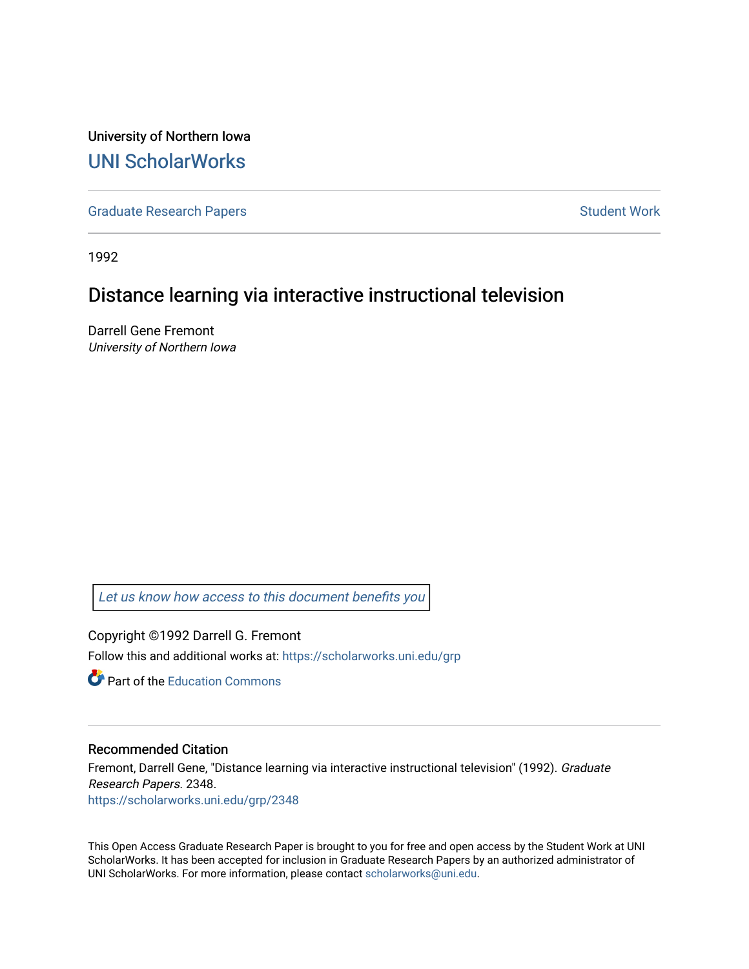University of Northern Iowa [UNI ScholarWorks](https://scholarworks.uni.edu/) 

[Graduate Research Papers](https://scholarworks.uni.edu/grp) **Student Work** Student Work

1992

# Distance learning via interactive instructional television

Darrell Gene Fremont University of Northern Iowa

[Let us know how access to this document benefits you](https://scholarworks.uni.edu/feedback_form.html) 

Copyright ©1992 Darrell G. Fremont Follow this and additional works at: [https://scholarworks.uni.edu/grp](https://scholarworks.uni.edu/grp?utm_source=scholarworks.uni.edu%2Fgrp%2F2348&utm_medium=PDF&utm_campaign=PDFCoverPages) 

**C** Part of the [Education Commons](http://network.bepress.com/hgg/discipline/784?utm_source=scholarworks.uni.edu%2Fgrp%2F2348&utm_medium=PDF&utm_campaign=PDFCoverPages)

## Recommended Citation

Fremont, Darrell Gene, "Distance learning via interactive instructional television" (1992). Graduate Research Papers. 2348. [https://scholarworks.uni.edu/grp/2348](https://scholarworks.uni.edu/grp/2348?utm_source=scholarworks.uni.edu%2Fgrp%2F2348&utm_medium=PDF&utm_campaign=PDFCoverPages) 

This Open Access Graduate Research Paper is brought to you for free and open access by the Student Work at UNI ScholarWorks. It has been accepted for inclusion in Graduate Research Papers by an authorized administrator of UNI ScholarWorks. For more information, please contact [scholarworks@uni.edu.](mailto:scholarworks@uni.edu)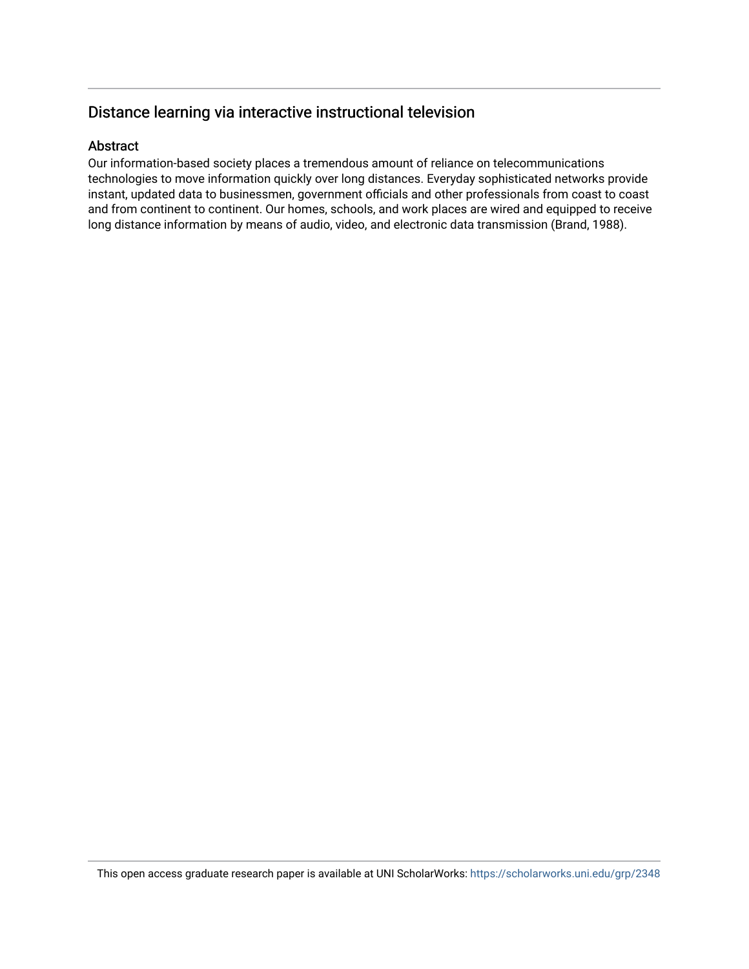# Distance learning via interactive instructional television

# Abstract

Our information-based society places a tremendous amount of reliance on telecommunications technologies to move information quickly over long distances. Everyday sophisticated networks provide instant, updated data to businessmen, government officials and other professionals from coast to coast and from continent to continent. Our homes, schools, and work places are wired and equipped to receive long distance information by means of audio, video, and electronic data transmission (Brand, 1988).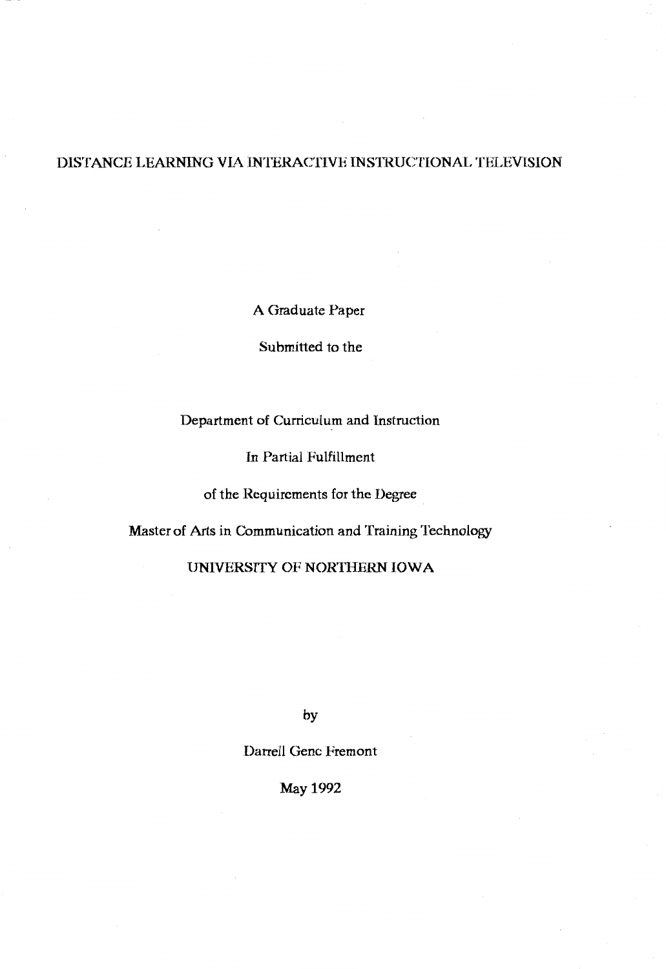# DISTANCE LEARNING VIA INTERACTIVE INSTRUCTIONAL TELEVISION

A Graduate Paper

Submitted to the

# Department of Curriculum and Instruction

In Partial Fulfillment

of the Requirements for the Degree

Master of Arts in Communication and Training Technology

# UNIVERSffY OF NORTHERN IOWA

by

Darrell Gene Fremont

May1992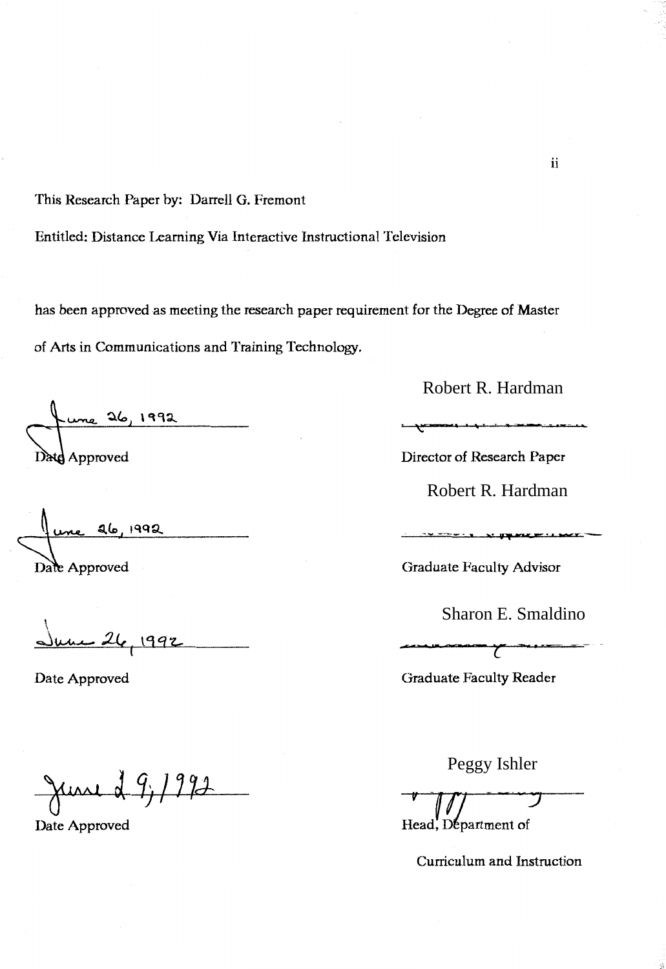This Research Paper by: Darrell G. Fremont

Entitled: Distance Leaming Via Interactive Instructional Television

has been approved as meeting the research paper requirement for the Degree of Master of Arts in Communications and Training Technology.

 $26, 1992$ Date Approved

une 26, 1992 Date Approved

, June 26, 1992

Date Approved

June 2 9, 1992

Date Approved

Robert R. Hardman

Director of Research Paper

Robert R. Hardman

Graduate Facully Advisor

Sharon E. Smaldino

 $\overline{\phantom{a}}$ 

Graduate Faculty Reader

Peggy Ishler

Head, Department of

Curriculum and Instruction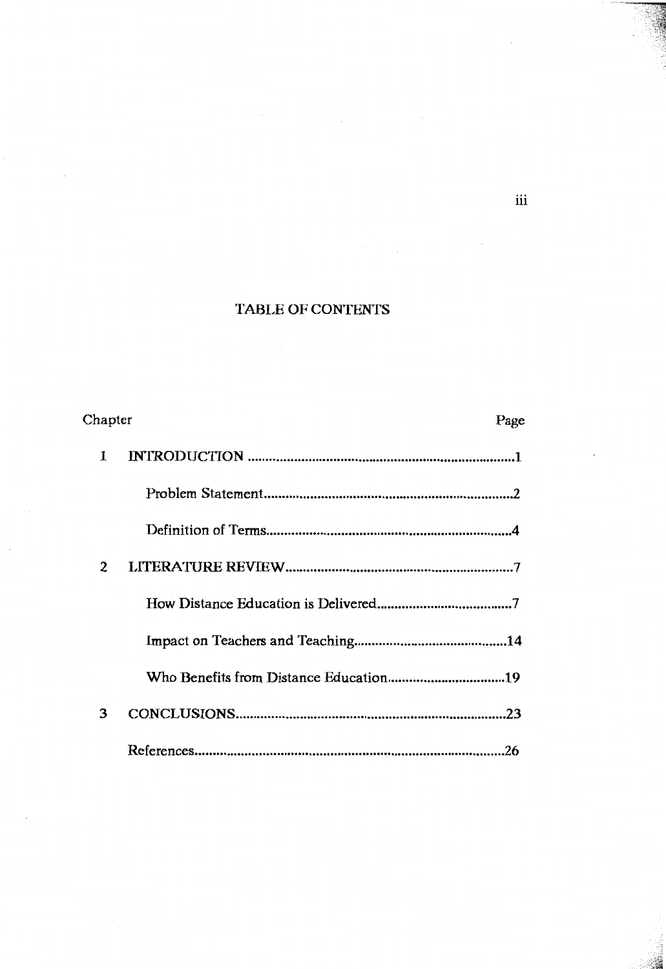# TABLE OF CONTENTS

| Chapter |  | Page |
|---------|--|------|
| 1       |  |      |
|         |  |      |
|         |  |      |
| 2       |  |      |
|         |  |      |
|         |  |      |
|         |  |      |
| 3       |  |      |
|         |  |      |

iii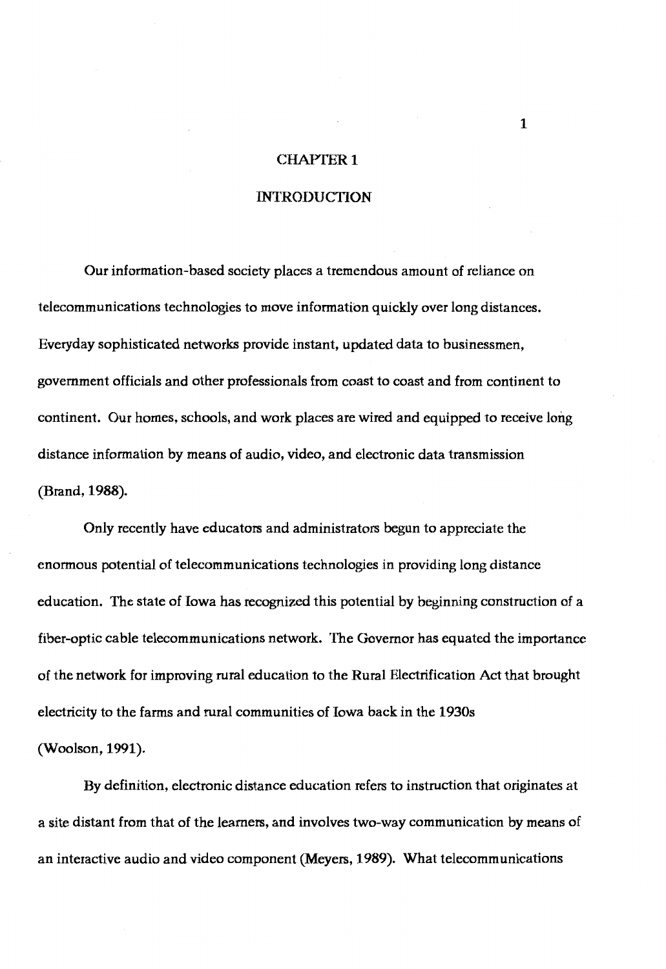## **CHAPTER 1**

## INTRODUCTION

Our information-based society places a tremendous amount of reliance on telecommunications technologies to move information quickly over long distances. Everyday sophisticated networks provide instant, updated data to businessmen, government officials and other professionals from coast to coast and from continent to continent. Our homes, schools, and work places are wired and equipped to receive long distance information by means of audio, video, and electronic data transmission (Brand, **1988).** 

Only recently have educators and administrators begun to appreciate the enormous potential of telecommunications technologies in providing long distance education. The state of Iowa has recognized this potential by beginning construction of a fiber-optic cable telecommunications network. The Governor has equated the importance of the network for improving rural education to the Rural Electrification Act that brought electricity to the farms and rural communities of Iowa back in the 1930s (Woolson, 1991).

By definition, electronic distance education refers to instruction that originates at a site distant from that of the learners, and involves two-way communication by means of an interactive audio and video component (Meyers, 1989). What telecommunications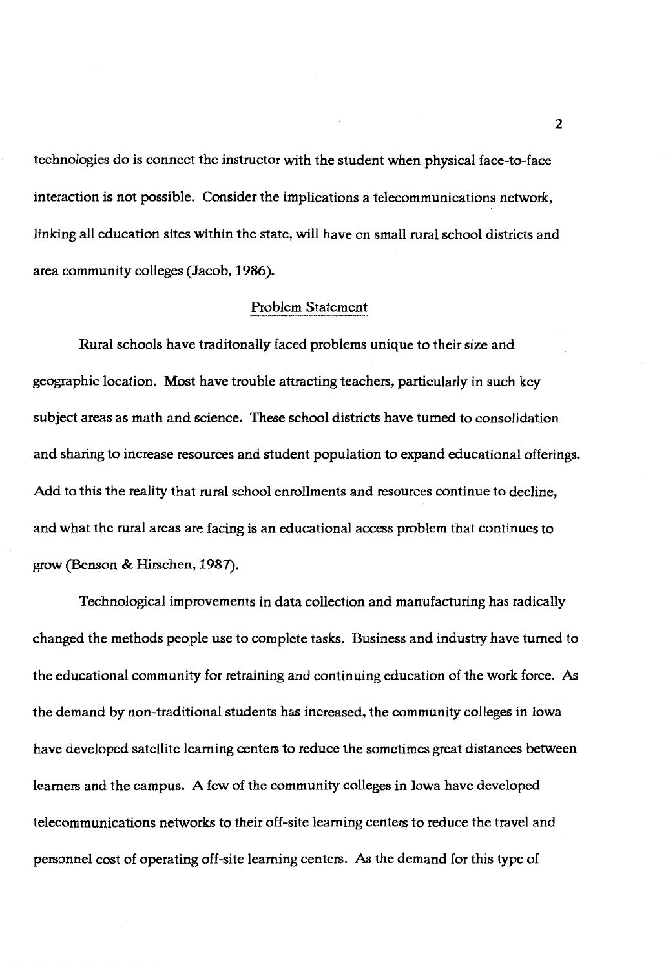technologies do is connect the instructor with the student when physical face-to-face interaction is not possible. Consider the implications a telecommunications network, linking all education sites within the state, will have on small rural school districts and area community colleges (Jacob, **1986).** 

### Problem Statement

Rural schools have traditonally faced problems unique to their size and geographic location. Most have trouble attracting teachers, particularly in such key subject areas as math and science. These school districts have turned to consolidation and sharing to increase resources and student population to expand educational offerings. Add to this the reality that rural school enrollments and resources continue to decline, and what the rural areas are facing is an educational access problem that continues to grow (Benson & Hirschen, 1987).

Technological improvements in data collection and manufacturing has radically changed the methods people use to complete tasks. Business and industry have turned to the educational community for retraining and continuing education of the work force. As the demand by non-traditional students has increased, the community colleges in Iowa have developed satellite learning centers to reduce the sometimes great distances between learners and the campus. A few of the community colleges in Iowa have developed telecommunications networks to their off-site learning centers to reduce the travel and personnel cost of operating off-site learning centers. As the demand for this type of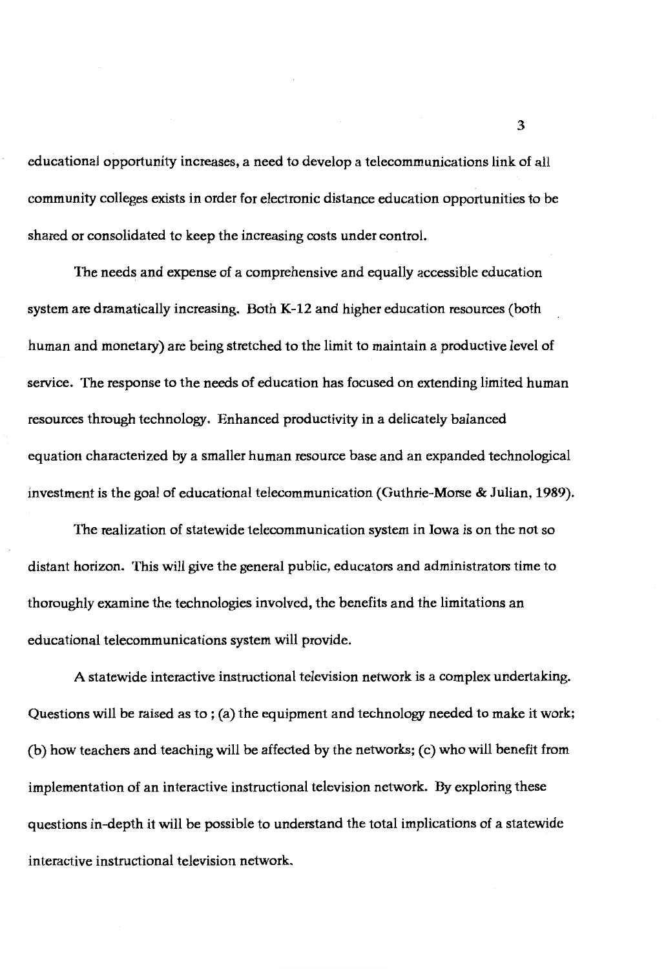educational opportunity increases, a need to develop a telecommunications link of all community colleges exists in order for electronic distance education opportunities to be shared or consolidated to keep the increasing costs under control.

The needs and expense of a comprehensive and equally accessible education system are dramatically increasing. Both **K-12** and higher education resources (both human and monetary) are being stretched to the limit to maintain a productive level of service. The response to the needs of education has focused on extending limited human resources through technology. Enhanced productivity in a delicately balanced equation characterized by a smaller human resource base and an expanded technological investment is the goal of educational telecommunication (Guthrie-Morse & Julian, **1989).** 

The realization of statewide telecommunication system in Iowa is on the not so distant horizon. This will give the general public, educators and administrators time to thoroughly examine the technologies involved, the benefits and the limitations an educational telecommunications system will provide.

A statewide interactive instructional television network is a complex undertaking. Questions will be raised as to; (a) the equipment and technology needed to make it work; (b) how teachers and teaching will be affected by the networks;  $(c)$  who will benefit from implementation of an interactive instructional television network. By exploring these questions in-depth it will be possible to understand the total implications of a statewide interactive instructional television network.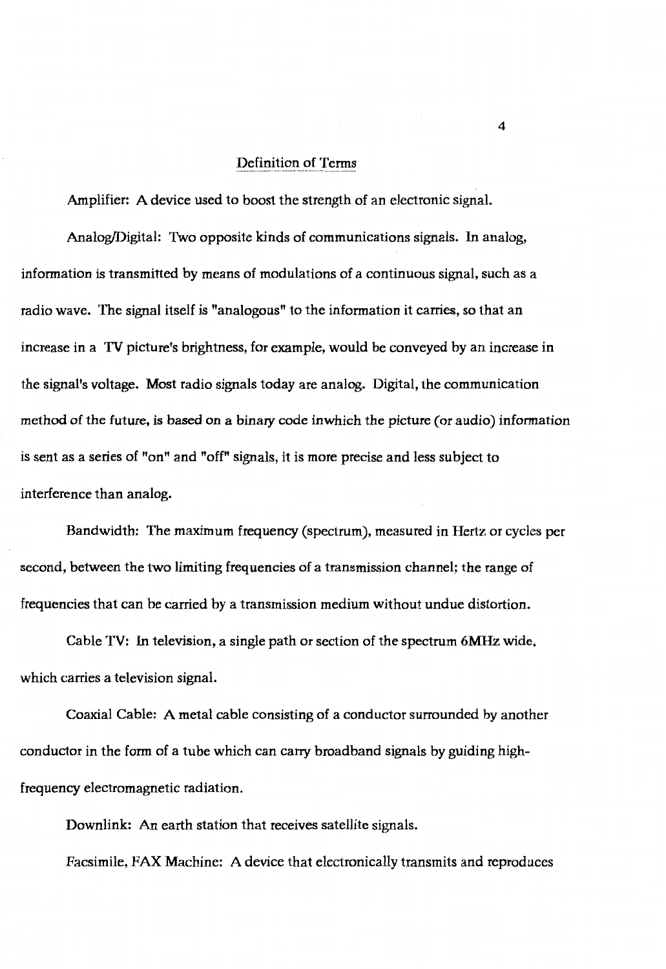## Definition of Terms

Amplifier: A device used to boost the strength of an electronic signal.

Analog/Digital: Two opposite kinds of communications signals. In analog, information is transmitted by means of modulations of a continuous signal, such as a radio wave. The signal itself is "analogous" to the information it carries, so that an increase in a **TV** picture's brightness, for example, would be conveyed by an increase in the signal's voltage. Most radio signals today are analog. Digital, the communication method of the future, is based on a binary code inwhich the picture (or audio) information is sent as a series of "on" and "off" signals, it is more precise and less subject to interference than analog.

Bandwidth: The maximum frequency (spectrum), measured in Hertz or cycles per second, between the two limiting frequencies of a transmission channel; the range of frequencies that can be carried by a transmission medium without undue distortion.

Cable **TV:** In television, a single path or section of the spectrum **6MHz** wide, which carries a television signal.

Coaxial Cable: A metal cable consisting of a conductor surrounded by another conductor in the form of a tube which can carry broadband signals by guiding highfrequency electromagnetic radiation.

Downlink: An earth station that receives satellite signals.

Facsimile, FAX Machine: A device that electronically transmits and reproduces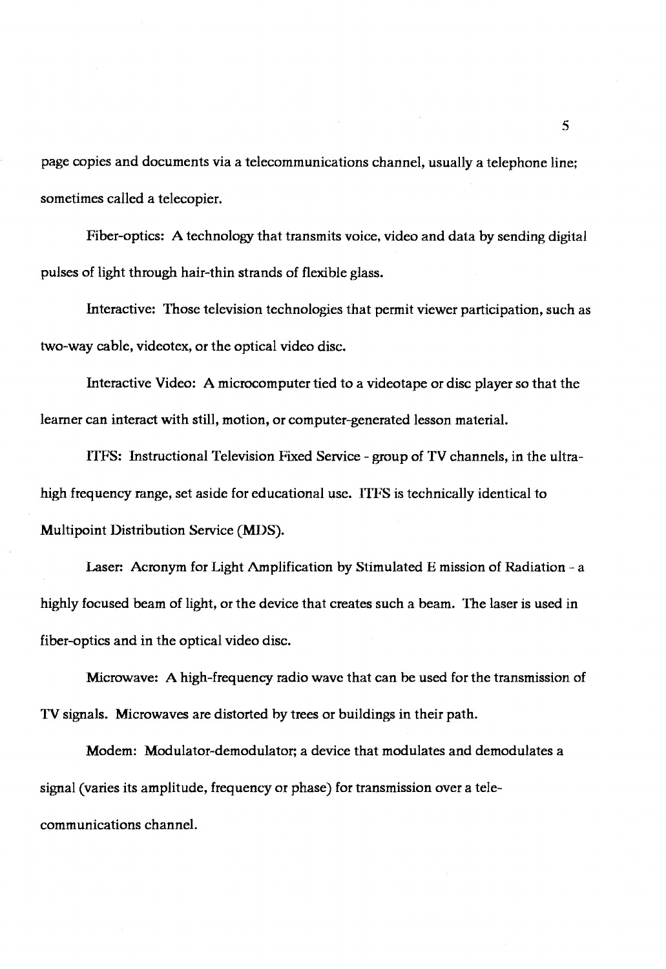page copies and documents via a telecommunications channel, usually a telephone line; sometimes called a telecopier.

Fiber-optics: A technology that transmits voice, video and data by sending digital pulses of light through hair-thin strands of flexible glass.

Interactive: Those television technologies that permit viewer participation, such as two-way cable, videotex, or the optical video disc.

Interactive Video: A microcomputer tied to a videotape or disc player so that the learner can interact with still, motion, or computer-generated lesson material.

I111S: Instructional Television Fixed Service - group of TV channels, in the ultrahigh frequency range, set aside for educational use. ITFS is technically identical to Multipoint Distribution Service **(MDS).** 

Laser: Acronym for Light Amplification by Stimulated E mission of Radiation - a highly focused beam of light, or the device that creates such a beam. The laser is used in fiber-optics and in the optical video disc.

Microwave: A high-frequency radio wave that can be used for the transmission of TV signals. Microwaves are distorted by trees or buildings in their path.

Modern: Modulator-demodulator; a device that modulates and demodulates a signal (varies its amplitude, frequency or phase) for transmission over a telecommunications channel.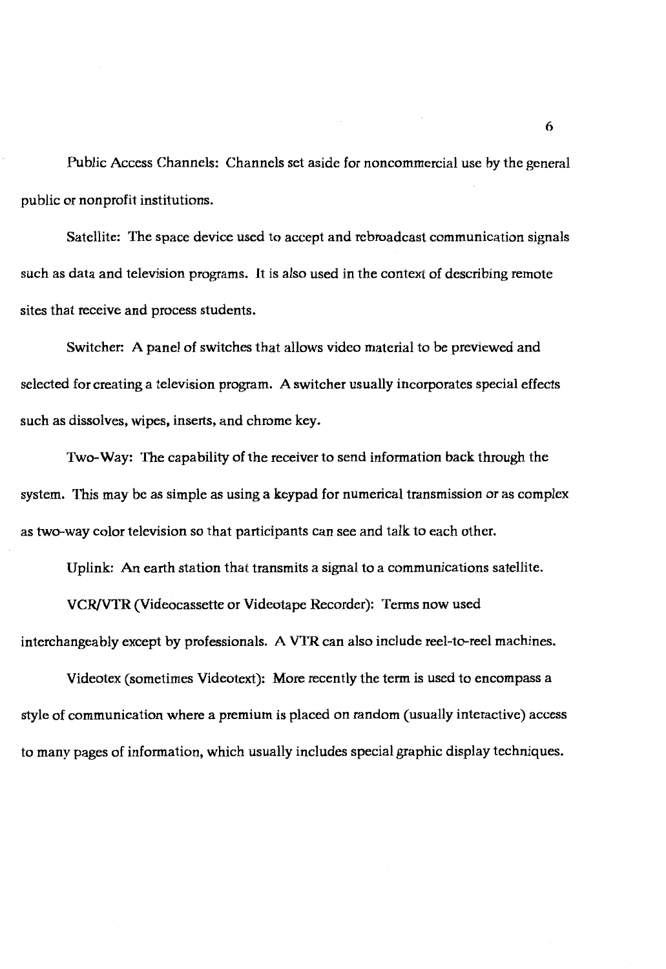Public Access Channels: Channels set aside for noncommercial use by the general public or nonprofit institutions.

Satellite: The space device used to accept and rebroadcast communication signals such as data and television programs. It is also used in the context of describing remote sites that receive and process students.

Switcher: A panel of switches that allows video material to be previewed and selected for creating a television program. A switcher usually incorporates special effects such as dissolves, wipes, inserts, and chrome key.

Two-Way: The capability of the receiver to send information back through the system. This may be as simple as using a keypad for numerical transmission or as complex as two-way color television so that participants can see and talk to each other.

Uplink: An earth station that transmits a signal to a communications satellite.

VCR/VTR (Videocassette or Videotape Recorder): Terms now used interchangeably except by professionals. A VTR can also include reel-to-reel machines.

Videotex (sometimes Videotext): More recently the term is used to encompass a style of communication where a premium is placed on random (usually interactive) access to many pages of information, which usually includes special graphic display techniques.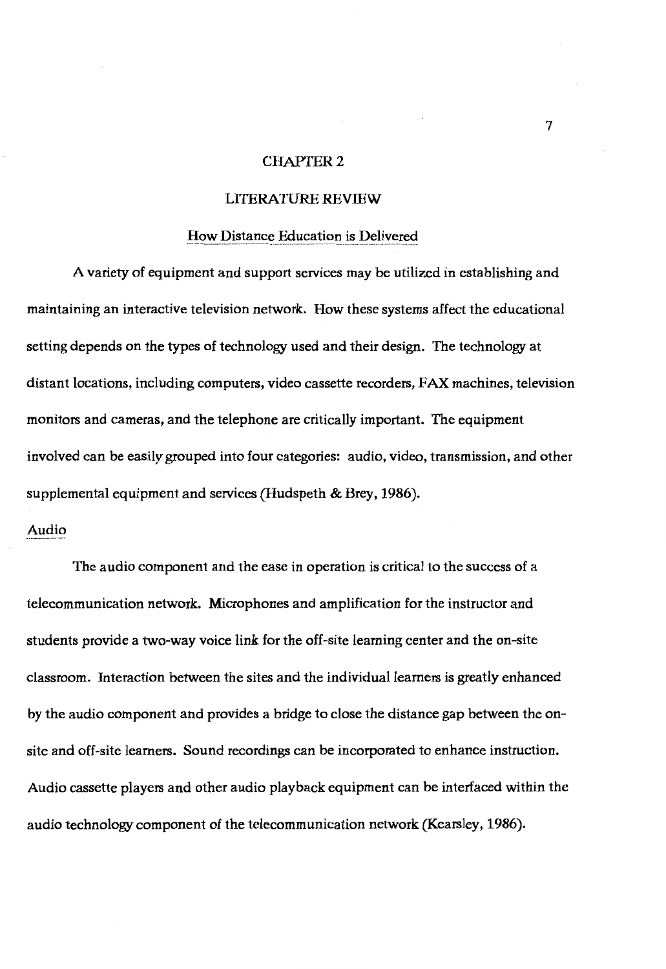# CHAPTER 2

#### LffERATURE **REVIEW**

#### How Distance Education is Delivered

A variety of equipment and support services may be utilized in establishing and maintaining an interactive television network. How these systems affect the educational setting depends on the types of technology used and their design. The technology at distant locations, including computers, video cassette recorders, FAX machines, television monitors and cameras, and the telephone are critically important. The equipment involved can be easily grouped into four categories: audio, video, transmission, and other supplemental equipment and services (Hudspeth & Brey, 1986).

# Audio

The audio component and the ease in operation is critical to the success of a telecommunication network. Microphones and amplification for the instructor and students provide a two-way voice link for the off-site learning center and the on-site classroom. Interaction between the sites and the individual learners is greatly enhanced by the audio component and provides a bridge to close the distance gap between the onsite and off-site learners. Sound recordings can be incorporated to enhance instruction. Audio cassette players and other audio playback equipment can be interfaced within the audio technology component of the telecommunication network (Kearsley, 1986).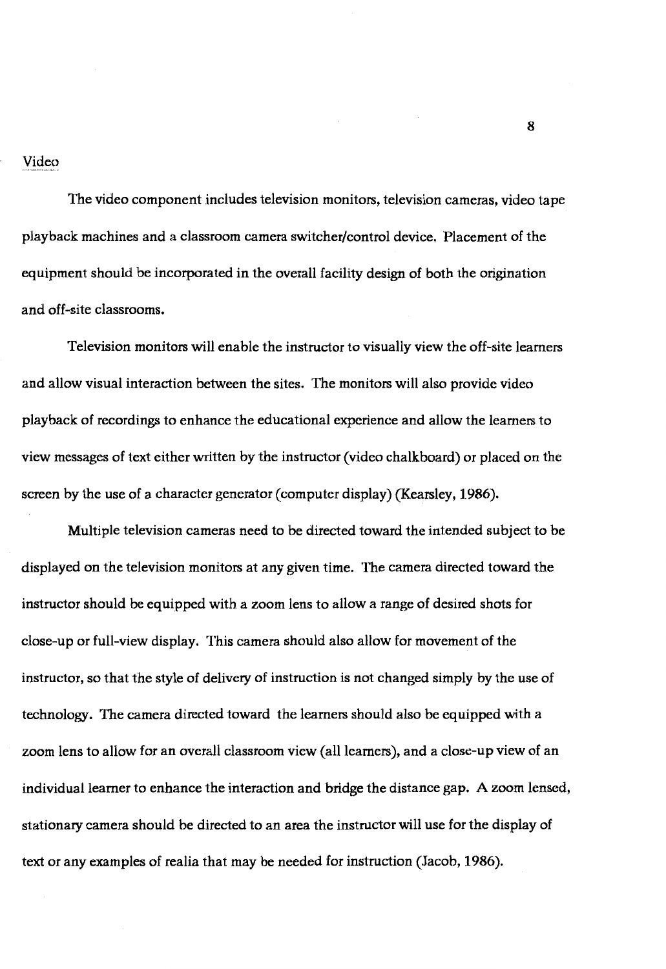Video

The video component includes television monitors, television cameras, video tape playback machines and a classroom camera switcher/control device. Placement of the equipment should be incorporated in the overall facility design of both the origination and off-site classrooms.

Television monitors will enable the instructor to visually view the off-site learners and allow visual interaction between the sites. The monitors will also provide video playback of recordings to enhance the educational experience and allow the learners to view messages of text either written by the instructor (video chalkboard) or placed on the screen by the use of a character generator (computer display) (Kearsley, 1986).

Multiple television cameras need to be directed toward the intended subject to be displayed on the television monitors at any given time. The camera directed toward the instructor should be equipped with a zoom lens to allow a range of desired shots for close-up or full-view display. This camera should also allow for movement of the instructor, so that the style of delivery of instruction is not changed simply by the use of technology. The camera directed toward the learners should also be equipped with a zoom lens to allow for an overall classroom view (all learners), and a close-up view of an individual learner to enhance the interaction and bridge the distance gap. A zoom lensed, stationary camera should be directed to an area the instructor will use for the display of text or any examples of realia that may be needed for instruction (Jacob, 1986).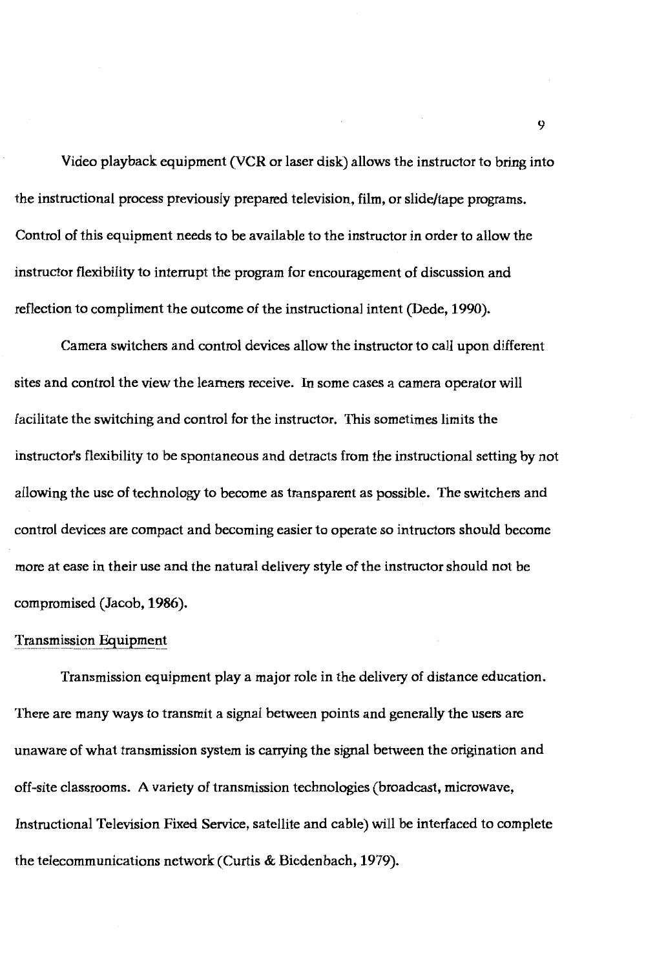Video playback equipment (VCR or laser disk) allows the instructor to bring into the instructional process previously prepared television, film, or slide/tape programs. Control of this equipment needs to be available to the instructor in order to allow the instructor flexibility to interrupt the program for encouragement of discussion and reflection to compliment the outcome of the instructional intent (Dede, 1990).

Camera switchers and control devices allow the instructor to call upon different sites and control the view the learners receive. In some cases a camera operator will facilitate the switching and control for the instructor. This sometimes limits the instructor's flexibility to be spontaneous and detracts from the instructional setting by not allowing the use of technology to become as transparent as possible. The switchers and control devices are compact and becoming easier to operate so intmctors should become more at ease in their use and the natural delivery style of the instructor should not be compromised (Jacob, **1986).** 

#### Transmission Equipment

Transmission equipment play a major role in the delivery of distance education. There are many ways to transmit a signal between points and generally the users are unaware of what transmission system is carrying the signal between the origination and off-site classrooms. A variety of transmission technologies (broadcast, microwave, Instructional Television Fixed Service, satellite and cable) will be interfaced to complete the telecommunications network (Curtis & Biedenbach, 1979).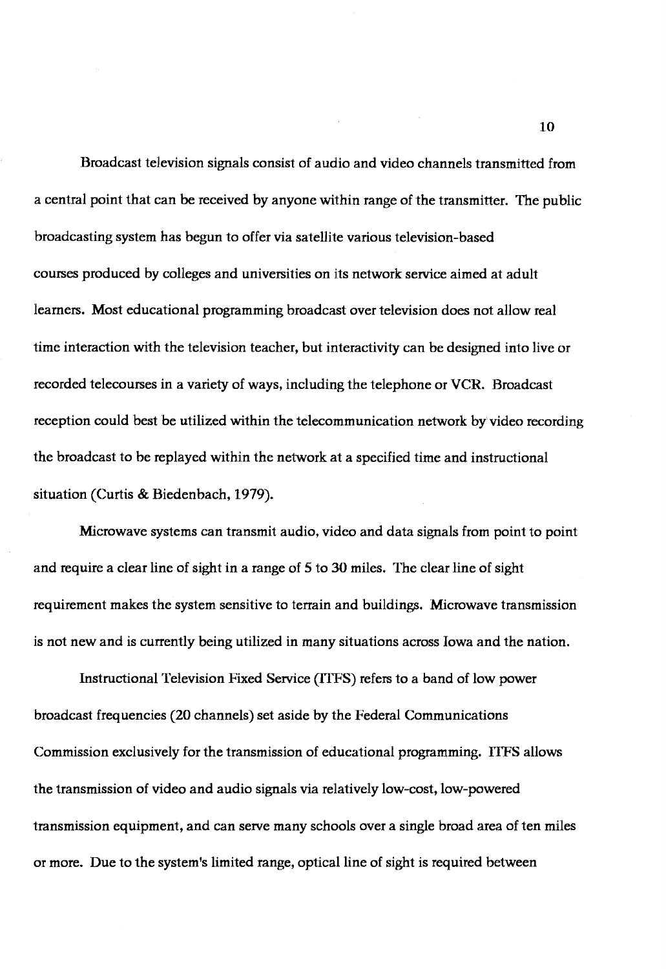Broadcast television signals consist of audio and video channels transmitted from a central point that can be received by anyone within range of the transmitter. The public broadcasting system has begun to offer via satellite various television-based courses produced by colleges and universities on its network service aimed at adult learners. Most educational programming broadcast over television does not allow real time interaction with the television teacher, but interactivity can be designed into live or recorded telecourses in a variety of ways, including the telephone or VCR. Broadcast reception could best be utilized within the telecommunication network by video recording the broadcast to be replayed within the network at a specified time and instructional situation (Curtis & Biedenbach, 1979).

Microwave systems can transmit audio, video and data signals from point to point and require a clear line of sight in a range of 5 to 30 miles. The clear line of sight requirement makes the system sensitive to terrain and buildings. Microwave transmission is not new and is currently being utilized in many situations across Iowa and the nation.

Instructional Television Fixed Service (ITFS) refers to a band of low power broadcast frequencies (20 channels) set aside by the Federal Communications Commission exclusively for the transmission of educational programming. lTFS allows the transmission of video and audio signals via relatively low-cost, low-powered transmission equipment, and can serve many schools over a single broad area of ten miles or more. Due to the system's limited range, optical line of sight is required between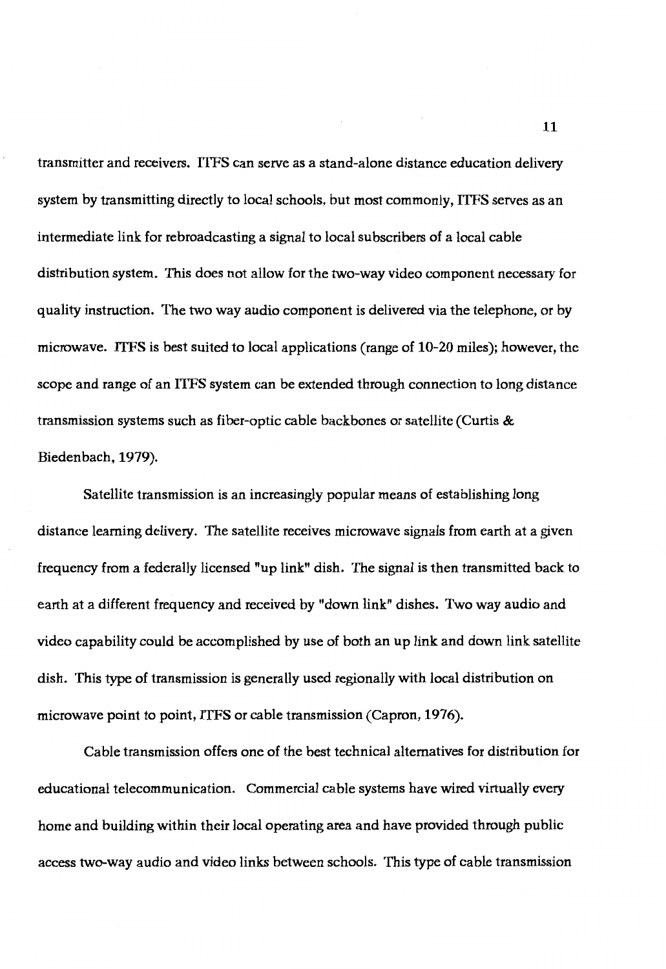transmitter and receivers. ITFS can serve as a stand-alone distance education delivery system by transmitting directly to local schools, but most commonly, ITFS serves as an intermediate link for rebroadcasting a signal to local subscribers of a local cable distribution system. 'This does not allow for the two-way video component necessary for quality instruction. The two way audio component is delivered via the telephone, or by microwave. ITFS is best suited to local applications (range of 10-20 miles); however, the scope and range of an ITFS system can be extended through connection to long distance transmission systems such as fiber-optic cable backbones or satellite (Curtis & Biedenbach, 1979).

Satellite transmission is an increasingly popular means of establishing long distance learning delivery. 'The satellite receives microwave signals from earth at a given frequency from a federally licensed "up link" dish. 'The signal is then transmitted back to earth at a different frequency and received by "down link" dishes. Two way audio and video capability could be accomplished by use of both an up link and down link satellite dish. This type of transmission is generally used regionally with local distribution on microwave point to point, ITFS or cable transmission (Capron, 1976).

Cable transmission offers one of the best technical alternatives for distribution for educational telecommunication. Commercial cable systems have wired virtually every home and building within their local operating area and have provided through public access two-way audio and video links between schools. This type of cable transmission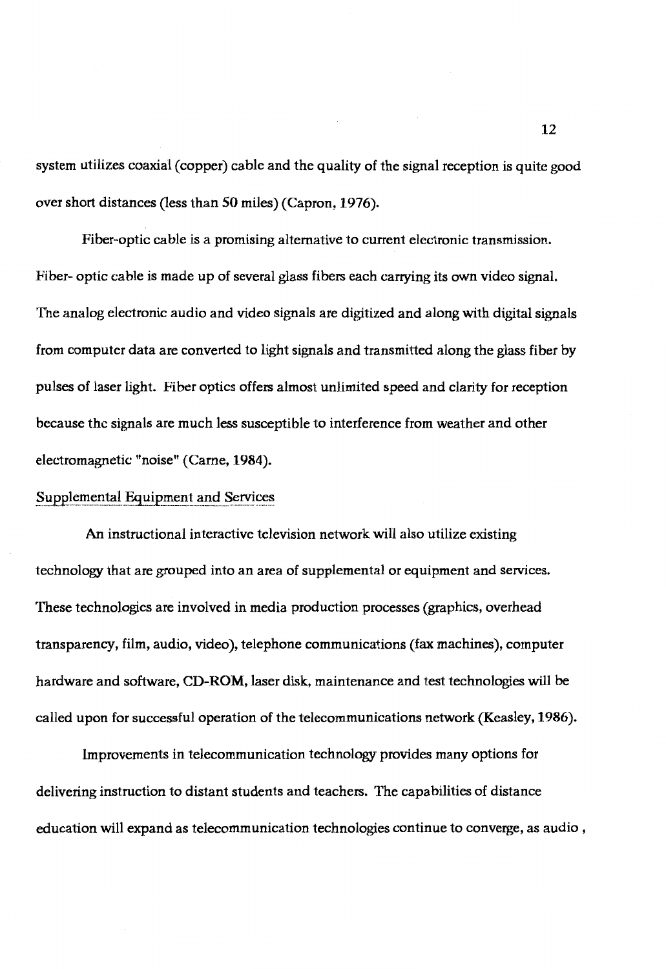system utilizes coaxial ( copper) cable and the quality of the signal reception is quite good over short distances (less than 50 miles) (Capron, 1976).

Fiber-optic cable is a promising alternative to current electronic transmission. Fiber- optic cable is made up of several glass fibers each carrying its own video signal. The analog electronic audio and video signals are digitized and along with digital signals from computer data are converted to light signals and transmitted along the glass fiber by pulses of laser light. Fiber optics offers almost unlimited speed and clarity for reception because the signals are much less susceptible to interference from weather and other electromagnetic "noise" (Carne, 1984).

## Supplemental Equipment and Services

An instructional interactive television network will also utilize existing technology that are grouped into an area of supplemental or equipment and services. These technologies are involved in media production processes (graphics, overhead transparency, film, audio, video), telephone communications (fax machines), computer hardware and software, **CD-ROM,** laser disk, maintenance and test technologies will be called upon for successful operation of the telecommunications network (Keasley, 1986).

Improvements in telecommunication technology provides many options for delivering instruction to distant students and teachers. The capabilities of distance education will expand as telecommunication technologies continue to converge, as audio ,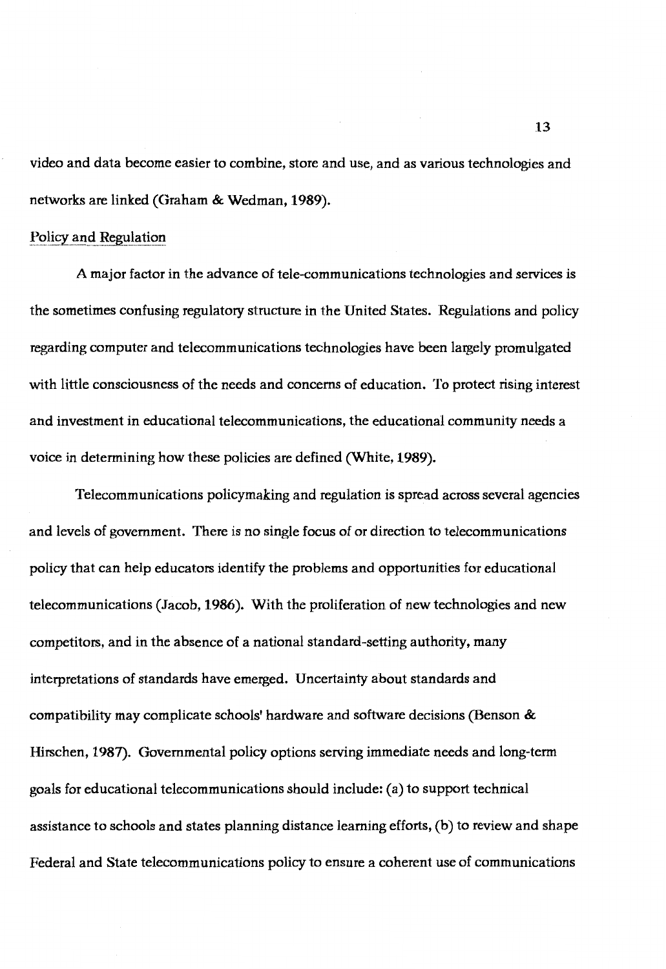video and data become easier to combine, store and use, and as various technologies and networks are linked (Graham & Wedman, **1989).** 

## Policy and Regulation

A major factor in the advance of tele-communications technologies and services is the sometimes confusing regulatory structure in the United States. Regulations and policy regarding computer and telecommunications technologies have been largely promulgated with little consciousness of the needs and concerns of education. To protect rising interest and investment in educational telecommunications, the educational community needs a voice in determining how these policies are defined (White, **1989).** 

Telecommunications policymaking and regulation is spread across several agencies and levels of government. There is no single focus of or direction to telecommunications policy that can help educators identify the problems and opportunities for educational telecommunications (Jacob, **1986).** With the proliferation of new technologies and new competitors, and in the absence of a national standard-setting authority, many interpretations of standards have emerged. Uncertainty about standards and compatibility may complicate schools' hardware and software decisions (Benson & Hirschen, 1987). Governmental policy options serving immediate needs and long-term goals for educational telecommunications should include: (a) to support technical assistance to schools and states planning distance learning efforts, (b) to review and shape Federal and State telecommunications policy to ensure a coherent use of communications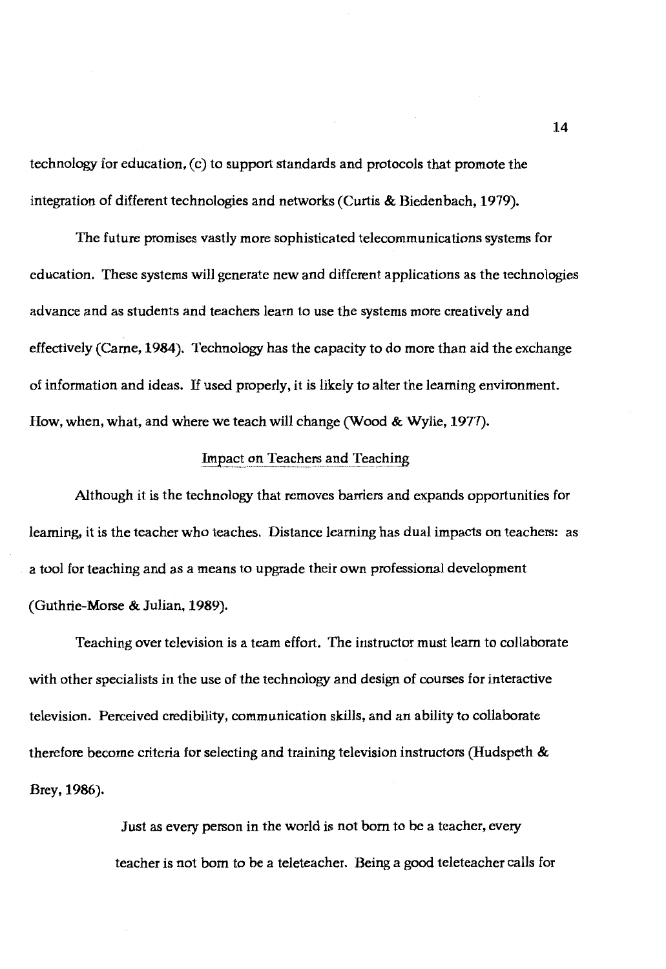technology for education, (c) to support standards and protocols that promote the integration of different technologies and networks (Curtis & Biedenbach, 1979).

The future promises vastly more sophisticated telecommunications systems for education. These systems will generate new and different applications as the technologies advance and as students and teachers learn to use the systems more creatively and effectively (Came, **1984).** Technology has the capacity to do more than aid the exchange of information and ideas. If used properly, it is likely to alter the learning environment. How, when, what, and where we teach will change (Wood & Wylie, 1977).

# Impact on Teachers and Teaching

Although it is the technology that removes barriers and expands opportunities for learning, it is the teacher who teaches. Distance learning has dual impacts on teachers: as a tool for teaching and as a means to upgrade their own professional development (Guthrie-Morse & Julian, 1989).

Teaching over television is a team effort. The instructor must learn to collaborate with other specialists in the use of the technology and design of courses for interactive television. Perceived credibility, communication skills, and an ability to collaborate therefore become criteria for selecting and training television instructors (Hudspeth & Brey, 1986).

> Just as every person in the world is not born to be a teacher, every teacher is not born to be a teleteacher. Being a good teleteacher calls for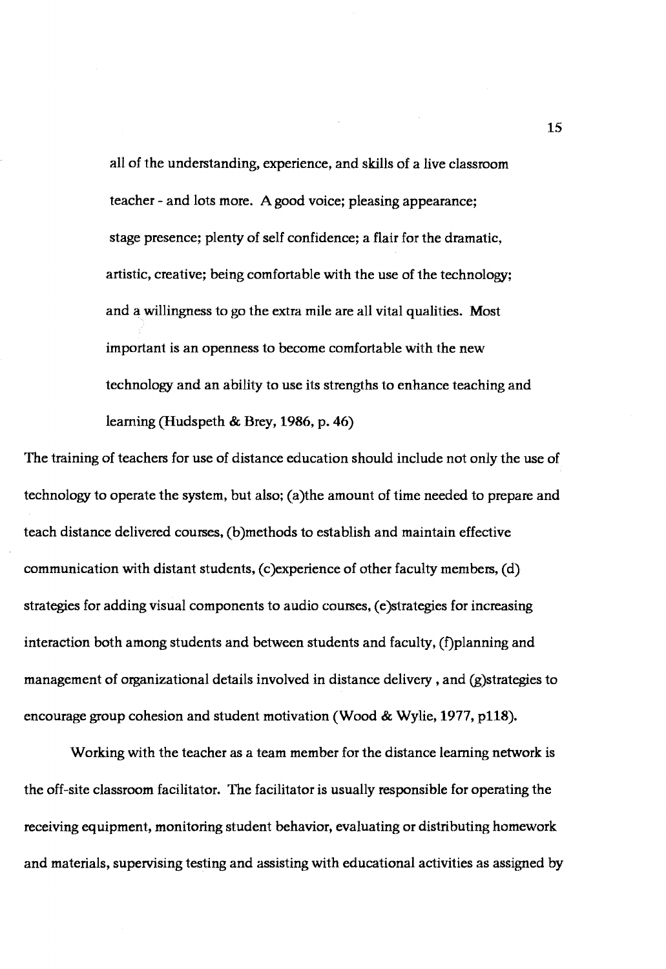all of the understanding, experience, and skills of a live classroom teacher - and lots more. A good voice; pleasing appearance; stage presence; plenty of self confidence; a flair for the dramatic, artistic, creative; being comfortable with the use of the technology; and a willingness to go the extra mile are all vital qualities. Most important is an openness to become comfortable with the new technology and an ability to use its strengths to enhance teaching and learning (Hudspeth & Brey, 1986, p. 46)

The training of teachers for use of distance education should include not only the use of technology to operate the system, but also; (a)the amount of time needed to prepare and teach distance delivered courses, (b)methods to establish and maintain effective communication with distant students, (c)experience of other faculty members, (d) strategies for adding visual components to audio courses, (e)strategies for increasing interaction both among students and between students and faculty, (f)planning and management of organizational details involved in distance delivery , and (g)strategies to encourage group cohesion and student motivation (Wood & Wylie, 1977, p118).

Working with the teacher as a team member for the distance learning network is the off-site classroom facilitator. The facilitator is usually responsible for operating the receiving equipment, monitoring student behavior, evaluating or distributing homework and materials, supervising testing and assisting with educational activities as assigned by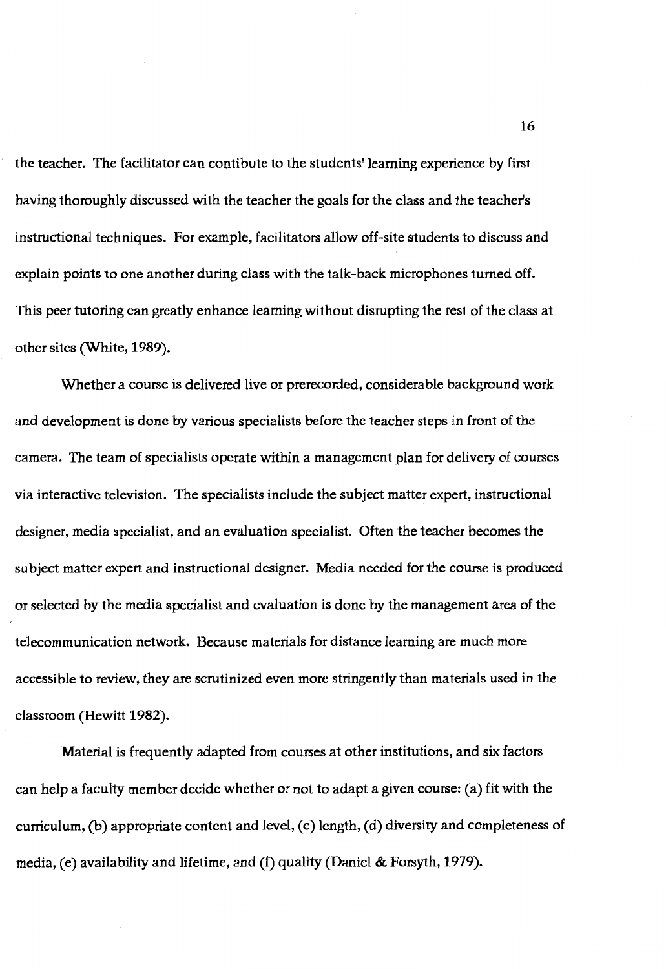the teacher. The facilitator can contibute to the students' learning experience by first having thoroughly discussed with the teacher the goals for the class and the teacher's instructional techniques. For example, facilitators allow off-site students to discuss and explain points to one another during class with the talk-back microphones turned off. This peer tutoring can greatly enhance learning without disrupting the rest of the class at other sites (White, **1989).** 

Whether a course is delivered live or prerecorded, considerable background work and development is done by various specialists before the teacher steps in front of the camera. The team of specialists operate within a management plan for delivery of courses via interactive television. The specialists include the subject matter expert, instructional designer, media specialist, and an evaluation specialist. Often the teacher becomes the subject matter expert and instructional designer. Media needed for the course is produced or selected by the media specialist and evaluation is done by the management area of the telecommunication network. Because materials for distance learning are much more accessible to review, they are scrutinized even more stringently than materials used in the classroom (Hewitt **1982).** 

Material is frequently adapted from courses at other institutions, and six factors can help a faculty member decide whether or not to adapt a given course: (a) fit with the curriculum, (b) appropriate content and level, (c) length, (d) diversity and completeness of media, (e) availability and lifetime, and (f) quality (Daniel & Forsyth, 1979).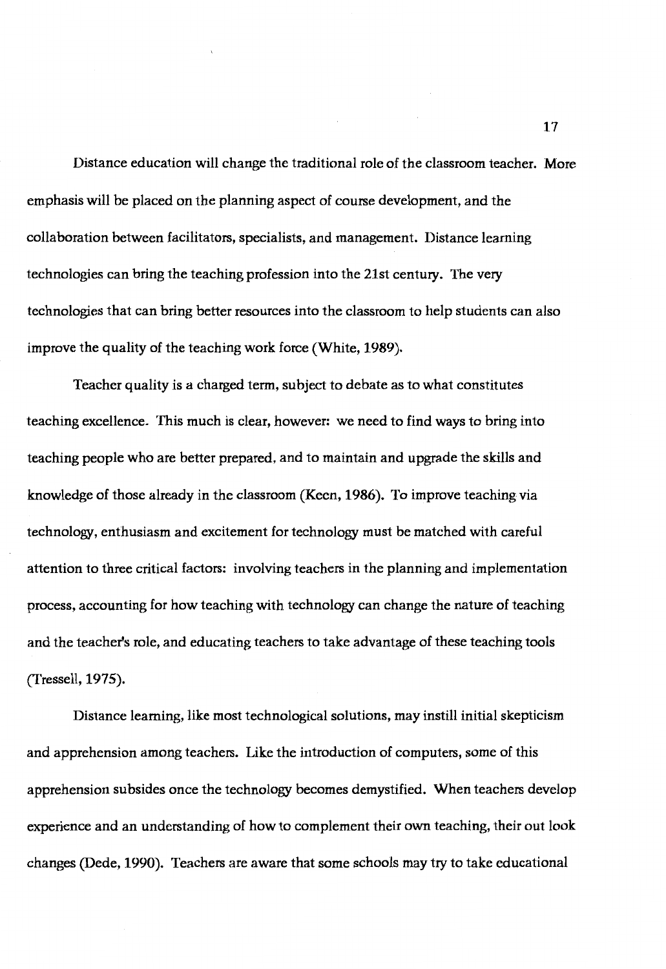Distance education will change the traditional role of the classroom teacher. More emphasis will be placed on the planning aspect of course development, and the collaboration between facilitators, specialists, and management. Distance learning technologies can bring the teaching profession into the 21st century. The very technologies that can bring better resources into the classroom to help students can also improve the quality of the teaching work force (White, 1989).

Teacher quality is a charged term, subject to debate as to what constitutes teaching excellence. 'This much is clear, however: we need to find ways to bring into teaching people who are better prepared, and to maintain and upgrade the skills and knowledge of those already in the classroom (Keen, l **986).** To improve teaching via technology, enthusiasm and excitement for technology must be matched with careful attention to three critical factors: involving teachers in the planning and implementation process, accounting for how teaching with technology can change the nature of teaching and the teacher's role, and educating teachers to take advantage of these teaching tools (Tressell, 1975).

Distance learning, like most technological solutions, may instill initial skepticism and apprehension among teachers. Like the introduction of computers, some of this apprehension subsides once the technology becomes demystified. When teachers develop experience and an understanding of how to complement their own teaching, their out look changes (Dede, 1990). Teachers are aware that some schools may try to take educational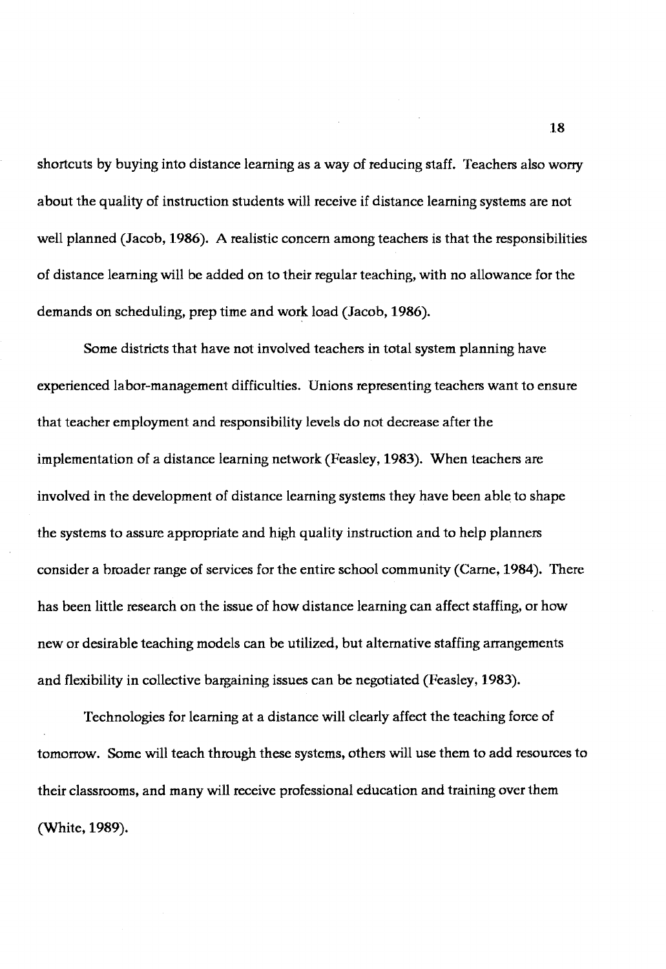shortcuts by buying into distance learning as a way of reducing staff. Teachers also worry about the quality of instruction students will receive if distance learning systems are not well planned (Jacob, **1986). A** realistic concern among teachers is that the responsibilities of distance learning will be added on to their regular teaching, with no allowance for the demands on scheduling, prep time and work load (Jacob, 1986).

Some districts that have not involved teachers in total system planning have experienced labor-management difficulties. Unions representing teachers want to ensure that teacher employment and responsibility levels do not decrease after the implementation of a distance learning network (Feasley, 1983). When teachers are involved in the development of distance learning systems they have been able to shape the systems to assure appropriate and high quality instruction and to help planners consider a broader range of services for the entire school community (Carne, 1984). There has been little research on the issue of how distance learning can affect staffing, or how new or desirable teaching models can be utilized, but alternative staffing arrangements and flexibility in collective bargaining issues can be negotiated (Feasley, 1983).

Technologies for learning at a distance will clearly affect the teaching force of tomorrow. Some will teach through these systems, others will use them to add resources to their classrooms, and many will receive professional education and training over them (White, 1989).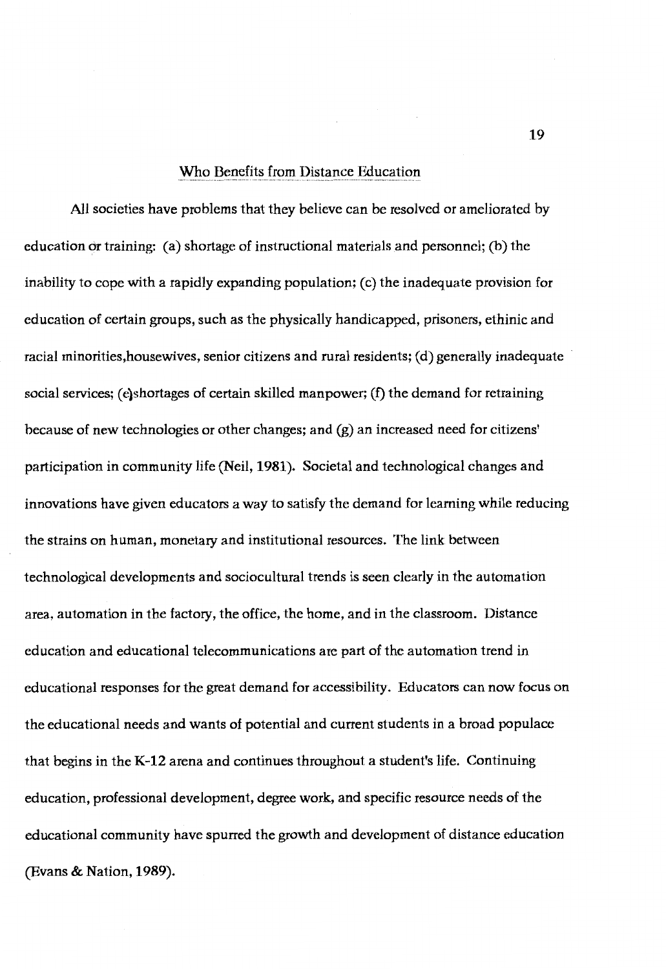#### Who Benefits from Distance Education

All societies have problems that they believe can be resolved or ameliorated by education or training: (a) shortage of instructional materials and personnel; (b) the inability to cope with a rapidly expanding population; (c) the inadequate provision for education of certain groups, such as the physically handicapped, prisoners, ethinic and racial minorities,housewives, senior citizens and rural residents; (d) generally inadequate social services; (e)shortages of certain skilled manpower; (f) the demand for retraining because of new technologies or other changes; and (g) an increased need for citizens' participation in community life (Neil, **1981).** Societal and technological changes and innovations have given educators a way to satisfy the demand for leaming while reducing the strains on human, monetary and institutional resources. The link between technological developments and sociocultural trends is seen clearly in the automation area, automation in the factory, the office, the home, and in the classroom. Distance education and educational telecommunications are part of the automation trend in educational responses for the great demand for accessibility. Educators can now focus on the educational needs and wants of potential and current students in a broad populace that begins in the **K-12** arena and continues throughout a student's life. Continuing education, professional development, degree work, and specific resource needs of the educational community have spurred the growth and development of distance education (Evans & Nation, **1989).**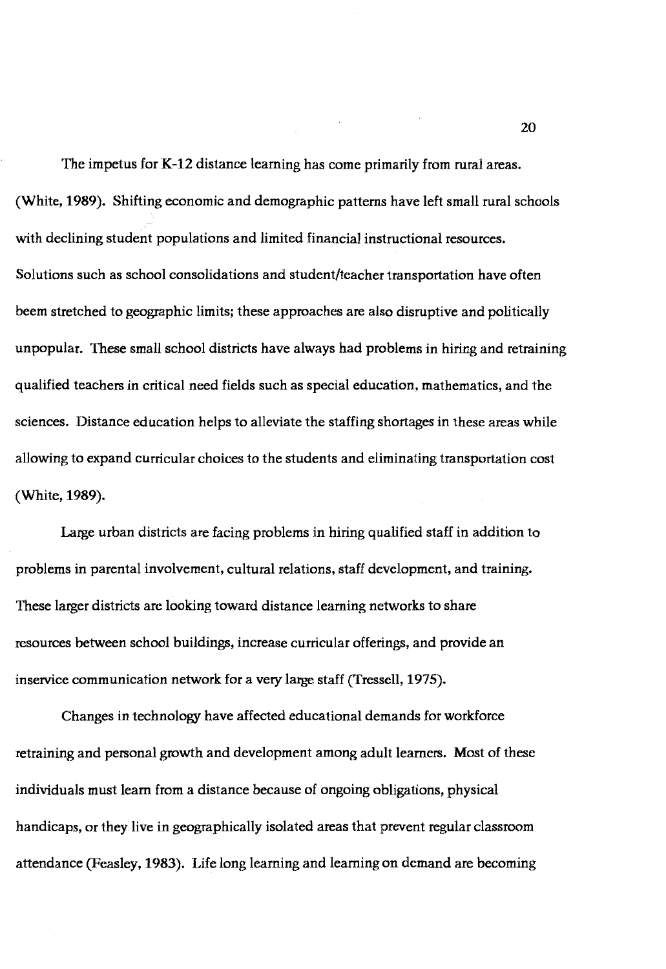The impetus for K-12 distance learning has come primarily from rural areas. (White, **1989).** Shifting economic and demographic patterns have left small rural schools with declining student populations and limited financial instructional resources. Solutions such as school consolidations and student/teacher transportation have often beem stretched to geographic limits; these approaches are also disruptive and politically unpopular. These small school districts have always had problems in hiring and retraining qualified teachers in critical need fields such as special education, mathematics, and the sciences. Distance education helps to alleviate the staffing shortages in these areas while allowing to expand curricular choices to the students and eliminating transportation cost (White, l **989).** 

Large urban districts are facing problems in hiring qualified staff in addition to problems in parental involvement, cultural relations, staff development, and training. These larger districts are looking toward distance learning networks to share resources between school buildings, increase curricular offerings, and provide an inservice communication network for a very large staff (Tressell, 1975).

Changes in technology have affected educational demands for workforce retraining and personal growth and development among adult learners. Most of these individuals must learn from a distance because of ongoing obligations, physical handicaps, or they live in geographically isolated areas that prevent regular classroom attendance (Peasley, 1983). Life long learning and learning on demand are becoming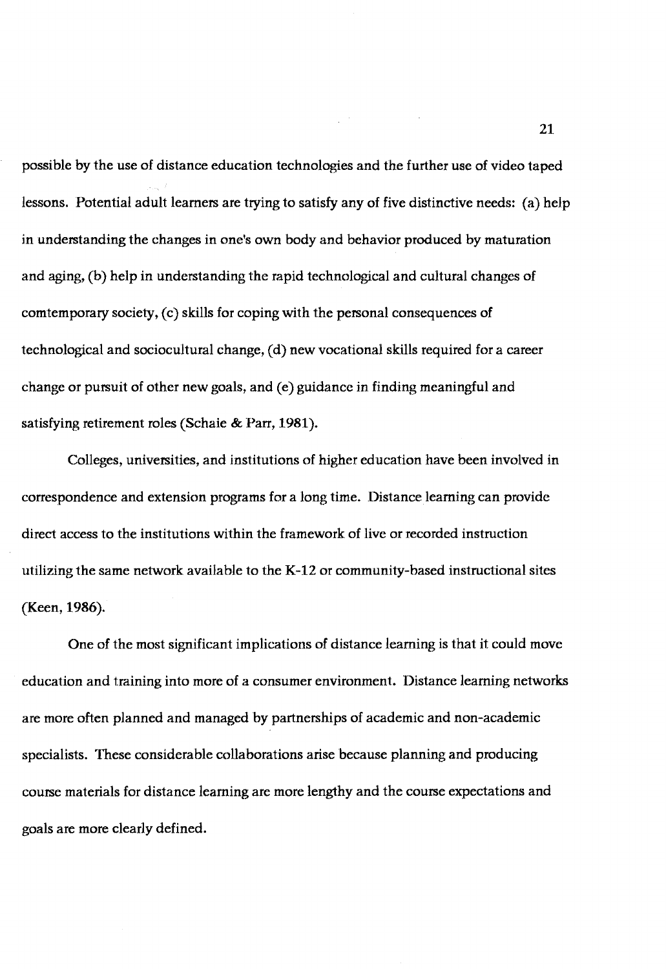possible by the use of distance education technologies and the further use of video taped lessons. Potential adult learners are trying to satisfy any of five distinctive needs: (a) help in understanding the changes in one's own body and behavior produced by maturation and aging, (b) help in understanding the rapid technological and cultural changes of comtemporary society, (c) skills for coping with the personal consequences of technological and sociocultural change, ( d) new vocational skills required for a career change or pursuit of other new goals, and (e) guidance in finding meaningful and satisfying retirement roles (Schaie & Parr, **1981** ).

 $\label{eq:2.1} \frac{1}{\sqrt{2\pi}}\frac{1}{\sqrt{2\pi}}\int_{0}^{\infty}\frac{1}{\sqrt{2\pi}}\left(\frac{1}{\sqrt{2\pi}}\int_{0}^{\infty}\frac{1}{\sqrt{2\pi}}\left(\frac{1}{\sqrt{2\pi}}\int_{0}^{\infty}\frac{1}{\sqrt{2\pi}}\right)\frac{1}{\sqrt{2\pi}}\right)\frac{1}{\sqrt{2\pi}}\frac{1}{\sqrt{2\pi}}\int_{0}^{\infty}\frac{1}{\sqrt{2\pi}}\frac{1}{\sqrt{2\pi}}\frac{1}{\sqrt{2\pi}}\frac{1}{\sqrt{2\pi$ 

Colleges, universities, and institutions of higher education have been involved in correspondence and extension programs for a long time. Distance learning can provide direct access to the institutions within the framework of live or recorded instruction utilizing the same network available to the **K-12** or community-based instructional sites (Keen, **1986).** 

One of the most significant implications of distance learning is that it could move education and training into more of a consumer environment. Distance learning networks are more often planned and managed by partnerships of academic and non-academic specialists. These considerable collaborations arise because planning and producing course materials for distance learning are more lengthy and the course expectations and goals are more clearly defined.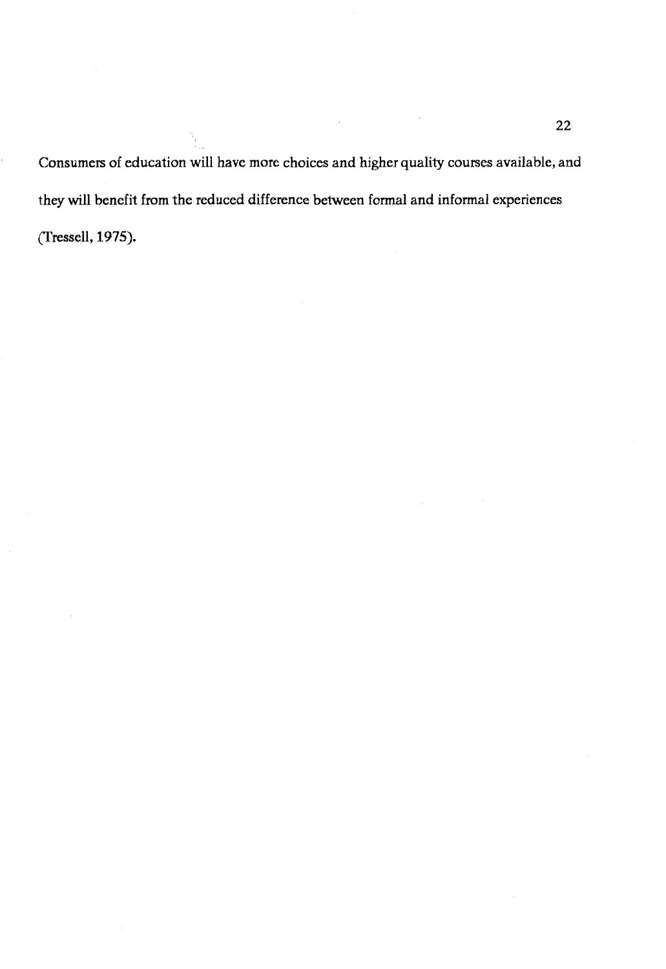Consumers of education will have more choices and higher quality courses available, and they will benefit from the reduced difference between fonnal and infonnal experiences (fressell, 1975).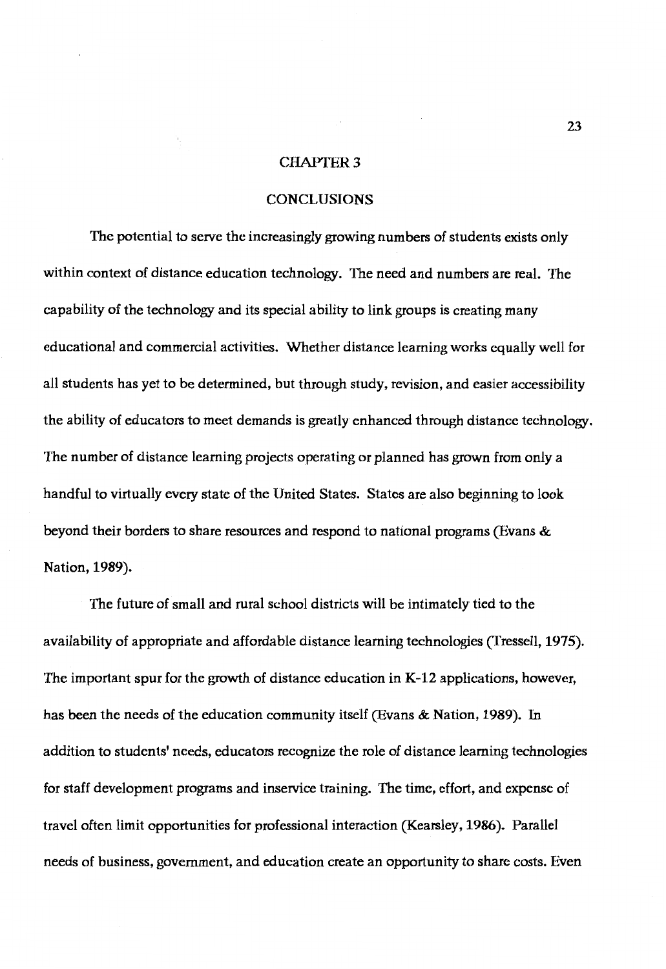## **CHAPTER 3**

## **CONCLUSIONS**

The potential to serve the increasingly growing numbers of students exists only within context of distance education technology. The need and numbers are real. The capability of the technology and its special ability to link groups is creating many educational and commercial activities. Whether distance learning works equally well for all students has yet to be determined, but through study, revision, and easier accessibility the ability of educators to meet demands is greatly enhanced through distance technology. The number of distance learning projects operating or planned has grown from only a handful to virtually every state of the United States. States are also beginning to look beyond their borders to share resources and respond to national programs (Evans & Nation, **1989).** 

The future of small and rural school districts will be intimately tied to the availability of appropriate and affordable distance learning technologies (Tressell, 1975). The important spur for the growth of distance education in K-12 applications, however, has been the needs of the education community itself (Evans & Nation, **1989).** In addition to students' needs, educators recognize the role of distance learning technologies for staff development programs and inservice training. The time, effort, and expense of travel often limit opportunities for professional interaction (Kearsley, **1986).** Parallel needs of business, government, and education create an opportunity to share costs. Even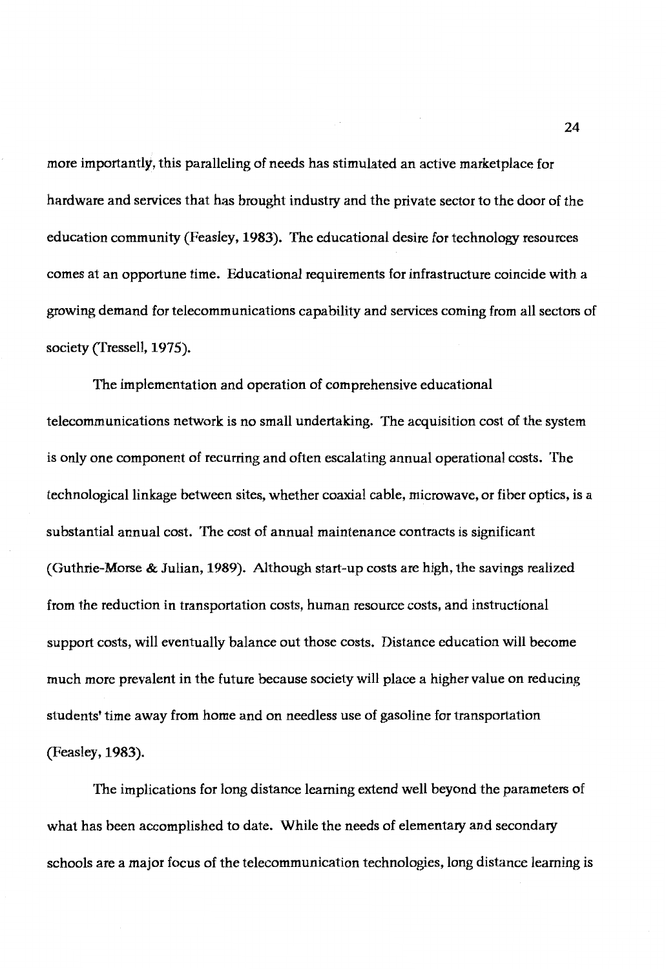more importantly, this paralleling of needs has stimulated an active marketplace for hardware and services that has brought industry and the private sector to the door of the education community (Feasley, **1983).** The educational desire for technology resources comes at an opportune time. Educational requirements for infrastructure coincide with a growing demand for telecommunications capability and services coming from all sectors of society (fressell, 1975).

The implementation and operation of comprehensive educational telecommunications network is no small undertaking. The acquisition cost of the system is only one component of recurring and often escalating annual operational costs. The technological linkage between sites, whether coaxial cable, microwave, or fiber optics, is a substantial annual cost. The cost of annual maintenance contracts is significant (Guthrie-Morse & Julian, 1989). Although start-up costs are high, the savings realized from the reduction in transportation costs, human resource costs, and instructional support costs, will eventually balance out those costs. Distance education will become much more prevalent in the future because society will place a higher value on reducing students' time away from home and on needless use of gasoline for transportation (Feasley, 1983).

The implications for long distance learning extend well beyond the parameters of what has been accomplished to date. While the needs of elementary and secondary schools are a major focus of the telecommunication technologies, long distance learning is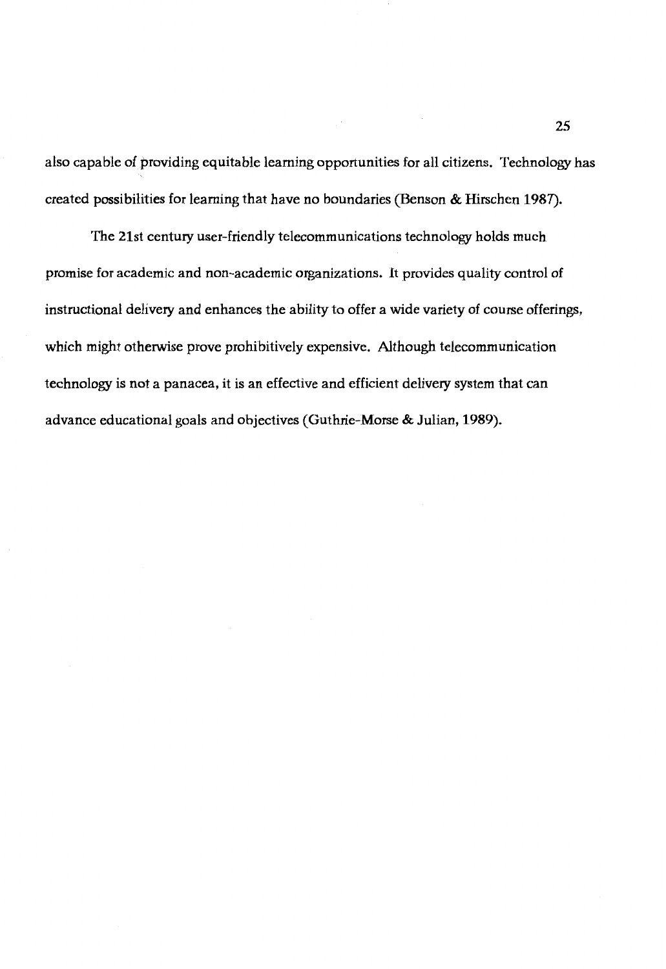also capable of providing equitable learning opportunities for all citizens. Technology has created possibilities for learning that have no boundaries (Benson & Hirschen 1987).

'Ibe 21st century user-friendly telecommunications technology holds much promise for academic and non-academic organizations. It provides quality control of instructional delivery and enhances the ability to offer a wide variety of course offerings, which might otherwise prove prohibitively expensive. Although telecommunication technology is not a panacea, it is an effective and efficient delivery system that can advance educational goals and objectives (Guthrie-Morse & Julian, **1989).**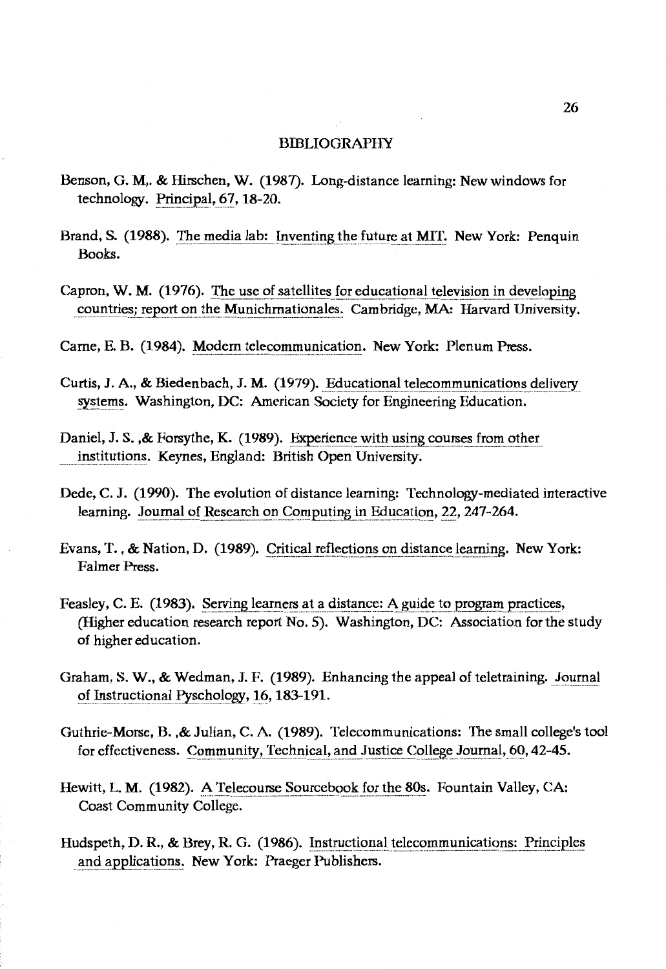#### BIBLIOGRAPHY

- Benson, G. **M,.** & Hirschen, **W. (1987).** Long-distance learning: New windows for technology. Principal,\_~?., **18-20.**
- Brand, S. (1988). The media lab: Inventing the future at MIT. New York: Penquin Books.
- Capron, W. M. (1976). The use of satellites for educational television in developing countries; report on the Munichmationales. Cambridge, MA: Hatvard University.

Carne, E. B. (1984). Modern telecommunication. New York: Plenum Press.

- Curtis, J. A., & Biedenbach, J. M. (1979). Educational telecommunications delivery systems. Washington, DC: American Society for Engineering Education.
- Daniel, J. S., & Forsythe, K. (1989). Experience with using courses from other institutions. Keynes, England: British Open University.
- Dede, C. J. (1990). The evolution of distance learning: Technology-mediated interactive learning. Journal of Research on Computing in Education, 22, 247-264.
- Evans, T., & Nation, D. (1989). Critical reflections on\_distance learning. New York: Falrner Press.
- Feasley, C. E. (1983). Serving learners at a distance: A guide to program practices, (Higher education research report **No.** 5). Washington, DC: Association for the study of higher education.
- Graham, **S. W.,** & Wedman, J. F. **(1989).** Enhancing the appeal of teletraining. Journal of Instructional Pyschology, 16, 183-191.
- Guthrie-Morse, B. ,& Julian, C. A. (1989). Telecommunications: The small college's tool for effectiveness. Community, Technical, and Justice College Journal, 60, 42-45.
- Hewitt, L. M. (1982). A Telecourse Sourcebook for the 80s. Fountain Valley, CA: Coast Community College.
- Hudspeth, D.R., & Brey, R.G. (1986). Instructional telecommunications: Principles and applications. New York: Praeger Publishers.